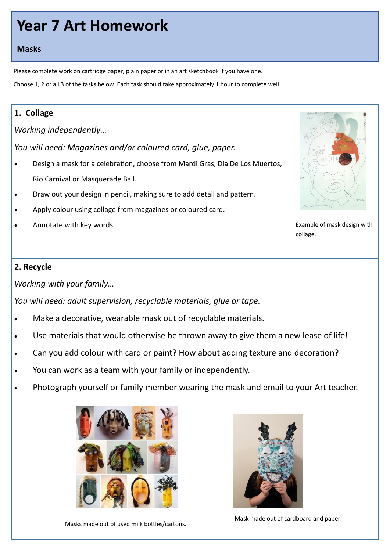# **Year 7 Art Homework**

#### **Masks**

Please complete work on cartridge paper, plain paper or in an art sketchbook if you have one.

Choose 1, 2 or all 3 of the tasks below. Each task should take approximately 1 hour to complete well.

## **1. Collage**

*Working independently…*

*You will need: Magazines and/or coloured card, glue, paper.*

- Design a mask for a celebration, choose from Mardi Gras, Dia De Los Muertos, Rio Carnival or Masquerade Ball.
- Draw out your design in pencil, making sure to add detail and pattern.
- Apply colour using collage from magazines or coloured card.
- Annotate with key words.



Example of mask design with collage.

#### **2. Recycle**

*Working with your family…*

*You will need: adult supervision, recyclable materials, glue or tape.*

- Make a decorative, wearable mask out of recyclable materials.
- Use materials that would otherwise be thrown away to give them a new lease of life!
- Can you add colour with card or paint? How about adding texture and decoration?
- You can work as a team with your family or independently.
- Photograph yourself or family member wearing the mask and email to your Art teacher.





Masks made out of used milk bottles/cartons.

Mask made out of cardboard and paper.